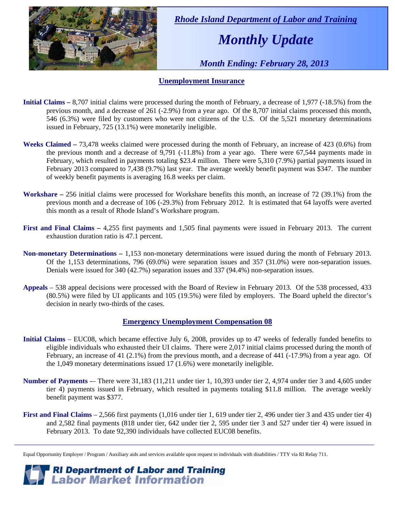

 *Rhode Island Department of Labor and Training* 

# *Monthly Update*

 *Month Ending: February 28, 2013* 

#### **Unemployment Insurance**

- **Initial Claims** 8,707 initial claims were processed during the month of February, a decrease of 1,977 (-18.5%) from the previous month, and a decrease of 261 (-2.9%) from a year ago. Of the 8,707 initial claims processed this month, 546 (6.3%) were filed by customers who were not citizens of the U.S. Of the 5,521 monetary determinations issued in February, 725 (13.1%) were monetarily ineligible.
- **Weeks Claimed** 73,478 weeks claimed were processed during the month of February, an increase of 423 (0.6%) from the previous month and a decrease of 9,791 (-11.8%) from a year ago. There were 67,544 payments made in February, which resulted in payments totaling \$23.4 million. There were 5,310 (7.9%) partial payments issued in February 2013 compared to 7,438 (9.7%) last year. The average weekly benefit payment was \$347. The number of weekly benefit payments is averaging 16.8 weeks per claim.
- **Workshare –** 256 initial claims were processed for Workshare benefits this month, an increase of 72 (39.1%) from the previous month and a decrease of 106 (-29.3%) from February 2012. It is estimated that 64 layoffs were averted this month as a result of Rhode Island's Workshare program.
- **First and Final Claims –** 4,255 first payments and 1,505 final payments were issued in February 2013. The current exhaustion duration ratio is 47.1 percent.
- **Non-monetary Determinations –** 1,153 non-monetary determinations were issued during the month of February 2013. Of the 1,153 determinations, 796 (69.0%) were separation issues and 357 (31.0%) were non-separation issues. Denials were issued for 340 (42.7%) separation issues and 337 (94.4%) non-separation issues.
- **Appeals** 538 appeal decisions were processed with the Board of Review in February 2013. Of the 538 processed, 433 (80.5%) were filed by UI applicants and 105 (19.5%) were filed by employers. The Board upheld the director's decision in nearly two-thirds of the cases.

#### **Emergency Unemployment Compensation 08**

- **Initial Claims**  EUC08, which became effective July 6, 2008, provides up to 47 weeks of federally funded benefits to eligible individuals who exhausted their UI claims. There were 2,017 initial claims processed during the month of February, an increase of 41 (2.1%) from the previous month, and a decrease of 441 (-17.9%) from a year ago. Of the 1,049 monetary determinations issued 17 (1.6%) were monetarily ineligible.
- **Number of Payments** -– There were 31,183 (11,211 under tier 1, 10,393 under tier 2, 4,974 under tier 3 and 4,605 under tier 4) payments issued in February, which resulted in payments totaling \$11.8 million. The average weekly benefit payment was \$377.
- **First and Final Claims**  2,566 first payments (1,016 under tier 1, 619 under tier 2, 496 under tier 3 and 435 under tier 4) and 2,582 final payments (818 under tier, 642 under tier 2, 595 under tier 3 and 527 under tier 4) were issued in February 2013. To date 92,390 individuals have collected EUC08 benefits.

*RI Department of Labor and Training*<br>*Labor Market Information* 

Equal Opportunity Employer / Program / Auxiliary aids and services available upon request to individuals with disabilities / TTY via RI Relay 711.